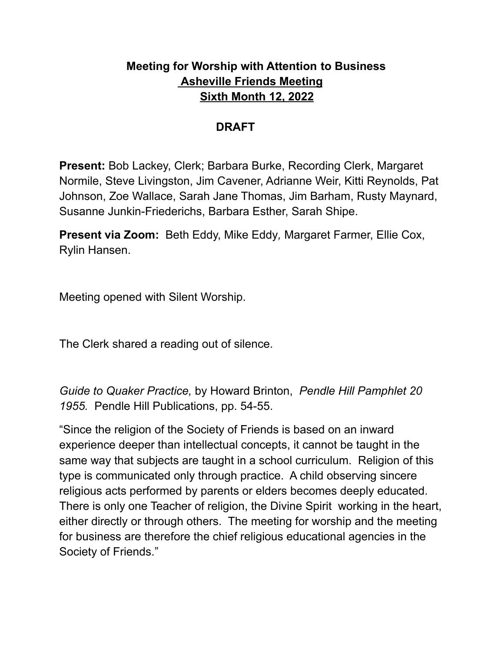# **Meeting for Worship with Attention to Business Asheville Friends Meeting Sixth Month 12, 2022**

#### **DRAFT**

**Present:** Bob Lackey, Clerk; Barbara Burke, Recording Clerk, Margaret Normile, Steve Livingston, Jim Cavener, Adrianne Weir, Kitti Reynolds, Pat Johnson, Zoe Wallace, Sarah Jane Thomas, Jim Barham, Rusty Maynard, Susanne Junkin-Friederichs, Barbara Esther, Sarah Shipe.

**Present via Zoom:** Beth Eddy, Mike Eddy*,* Margaret Farmer, Ellie Cox, Rylin Hansen.

Meeting opened with Silent Worship.

The Clerk shared a reading out of silence.

*Guide to Quaker Practice,* by Howard Brinton, *Pendle Hill Pamphlet 20 1955.* Pendle Hill Publications, pp. 54-55.

"Since the religion of the Society of Friends is based on an inward experience deeper than intellectual concepts, it cannot be taught in the same way that subjects are taught in a school curriculum. Religion of this type is communicated only through practice. A child observing sincere religious acts performed by parents or elders becomes deeply educated. There is only one Teacher of religion, the Divine Spirit working in the heart, either directly or through others. The meeting for worship and the meeting for business are therefore the chief religious educational agencies in the Society of Friends."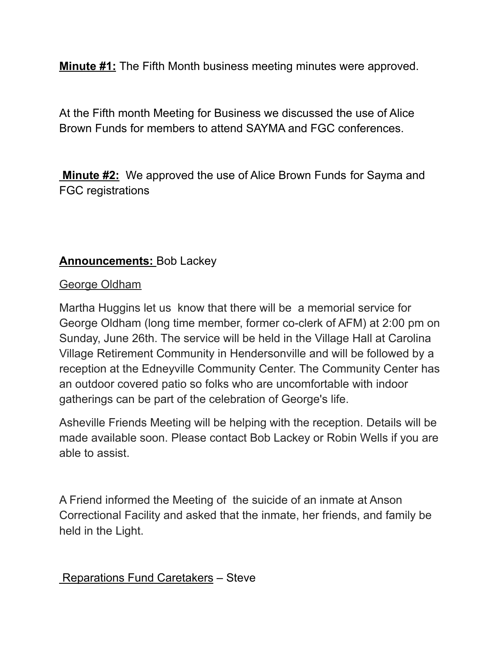**Minute #1:** The Fifth Month business meeting minutes were approved.

At the Fifth month Meeting for Business we discussed the use of Alice Brown Funds for members to attend SAYMA and FGC conferences.

**Minute #2:** We approved the use of Alice Brown Funds for Sayma and FGC registrations

# **Announcements:** Bob Lackey

#### George Oldham

Martha Huggins let us know that there will be a memorial service for George Oldham (long time member, former co-clerk of AFM) at 2:00 pm on Sunday, June 26th. The service will be held in the Village Hall at Carolina Village Retirement Community in Hendersonville and will be followed by a reception at the Edneyville Community Center. The Community Center has an outdoor covered patio so folks who are uncomfortable with indoor gatherings can be part of the celebration of George's life.

Asheville Friends Meeting will be helping with the reception. Details will be made available soon. Please contact Bob Lackey or Robin Wells if you are able to assist.

A Friend informed the Meeting of the suicide of an inmate at Anson Correctional Facility and asked that the inmate, her friends, and family be held in the Light.

Reparations Fund Caretakers – Steve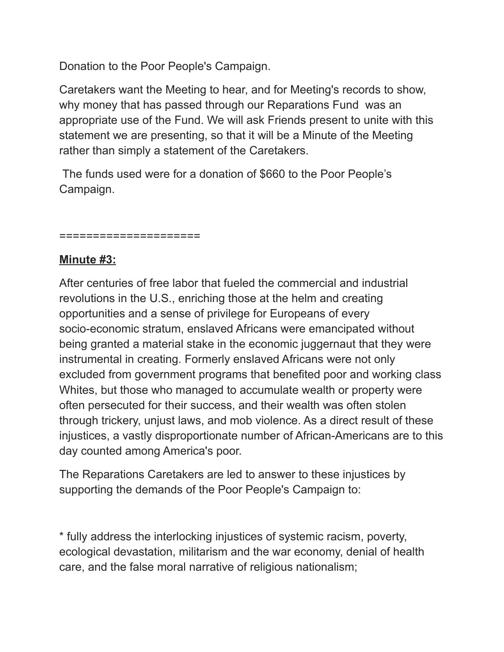Donation to the Poor People's Campaign.

Caretakers want the Meeting to hear, and for Meeting's records to show, why money that has passed through our Reparations Fund was an appropriate use of the Fund. We will ask Friends present to unite with this statement we are presenting, so that it will be a Minute of the Meeting rather than simply a statement of the Caretakers.

The funds used were for a donation of \$660 to the Poor People's Campaign.

#### ====================

## **Minute #3:**

After centuries of free labor that fueled the commercial and industrial revolutions in the U.S., enriching those at the helm and creating opportunities and a sense of privilege for Europeans of every socio-economic stratum, enslaved Africans were emancipated without being granted a material stake in the economic juggernaut that they were instrumental in creating. Formerly enslaved Africans were not only excluded from government programs that benefited poor and working class Whites, but those who managed to accumulate wealth or property were often persecuted for their success, and their wealth was often stolen through trickery, unjust laws, and mob violence. As a direct result of these injustices, a vastly disproportionate number of African-Americans are to this day counted among America's poor.

The Reparations Caretakers are led to answer to these injustices by supporting the demands of the Poor People's Campaign to:

\* fully address the interlocking injustices of systemic racism, poverty, ecological devastation, militarism and the war economy, denial of health care, and the false moral narrative of religious nationalism;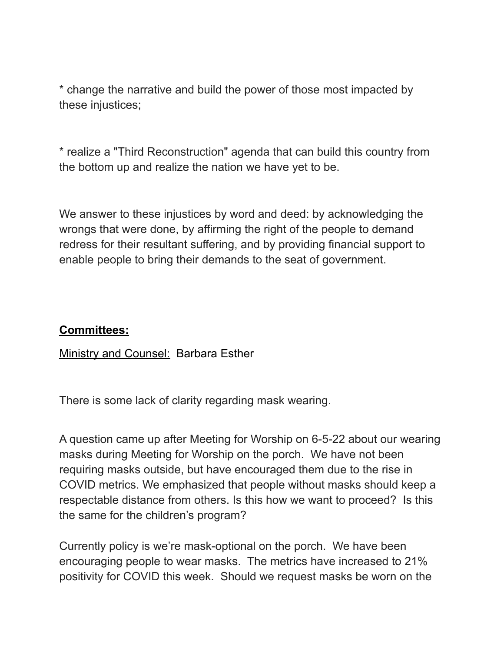\* change the narrative and build the power of those most impacted by these injustices;

\* realize a "Third Reconstruction" agenda that can build this country from the bottom up and realize the nation we have yet to be.

We answer to these injustices by word and deed: by acknowledging the wrongs that were done, by affirming the right of the people to demand redress for their resultant suffering, and by providing financial support to enable people to bring their demands to the seat of government.

### **Committees:**

**Ministry and Counsel: Barbara Esther** 

There is some lack of clarity regarding mask wearing.

A question came up after Meeting for Worship on 6-5-22 about our wearing masks during Meeting for Worship on the porch. We have not been requiring masks outside, but have encouraged them due to the rise in COVID metrics. We emphasized that people without masks should keep a respectable distance from others. Is this how we want to proceed? Is this the same for the children's program?

Currently policy is we're mask-optional on the porch. We have been encouraging people to wear masks. The metrics have increased to 21% positivity for COVID this week. Should we request masks be worn on the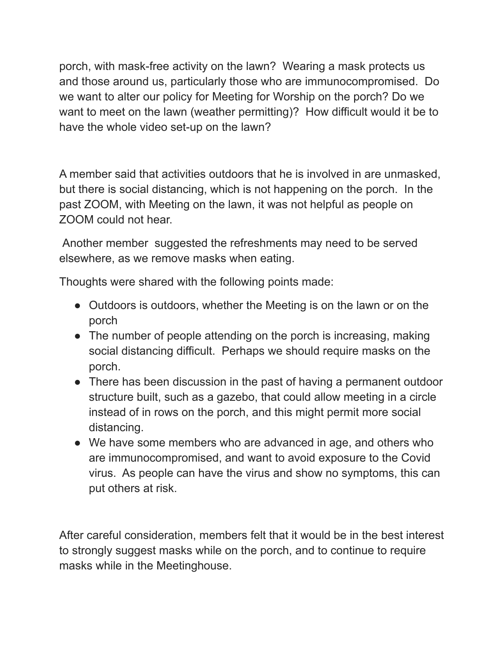porch, with mask-free activity on the lawn? Wearing a mask protects us and those around us, particularly those who are immunocompromised. Do we want to alter our policy for Meeting for Worship on the porch? Do we want to meet on the lawn (weather permitting)? How difficult would it be to have the whole video set-up on the lawn?

A member said that activities outdoors that he is involved in are unmasked, but there is social distancing, which is not happening on the porch. In the past ZOOM, with Meeting on the lawn, it was not helpful as people on ZOOM could not hear.

Another member suggested the refreshments may need to be served elsewhere, as we remove masks when eating.

Thoughts were shared with the following points made:

- Outdoors is outdoors, whether the Meeting is on the lawn or on the porch
- The number of people attending on the porch is increasing, making social distancing difficult. Perhaps we should require masks on the porch.
- There has been discussion in the past of having a permanent outdoor structure built, such as a gazebo, that could allow meeting in a circle instead of in rows on the porch, and this might permit more social distancing.
- We have some members who are advanced in age, and others who are immunocompromised, and want to avoid exposure to the Covid virus. As people can have the virus and show no symptoms, this can put others at risk.

After careful consideration, members felt that it would be in the best interest to strongly suggest masks while on the porch, and to continue to require masks while in the Meetinghouse.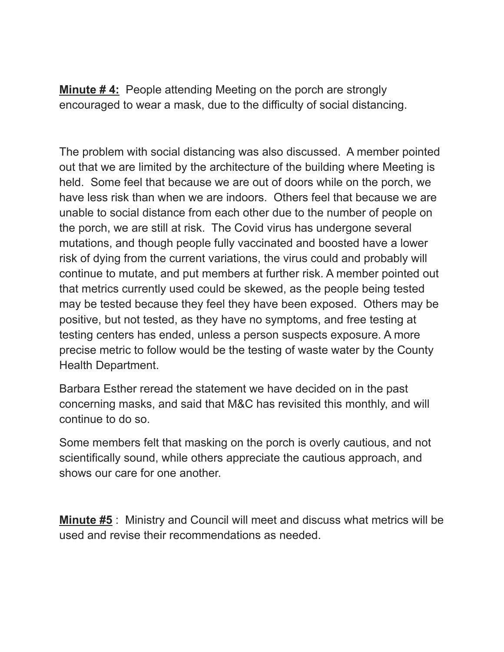**Minute # 4:** People attending Meeting on the porch are strongly encouraged to wear a mask, due to the difficulty of social distancing.

The problem with social distancing was also discussed. A member pointed out that we are limited by the architecture of the building where Meeting is held. Some feel that because we are out of doors while on the porch, we have less risk than when we are indoors. Others feel that because we are unable to social distance from each other due to the number of people on the porch, we are still at risk. The Covid virus has undergone several mutations, and though people fully vaccinated and boosted have a lower risk of dying from the current variations, the virus could and probably will continue to mutate, and put members at further risk. A member pointed out that metrics currently used could be skewed, as the people being tested may be tested because they feel they have been exposed. Others may be positive, but not tested, as they have no symptoms, and free testing at testing centers has ended, unless a person suspects exposure. A more precise metric to follow would be the testing of waste water by the County Health Department.

Barbara Esther reread the statement we have decided on in the past concerning masks, and said that M&C has revisited this monthly, and will continue to do so.

Some members felt that masking on the porch is overly cautious, and not scientifically sound, while others appreciate the cautious approach, and shows our care for one another.

**Minute #5** : Ministry and Council will meet and discuss what metrics will be used and revise their recommendations as needed.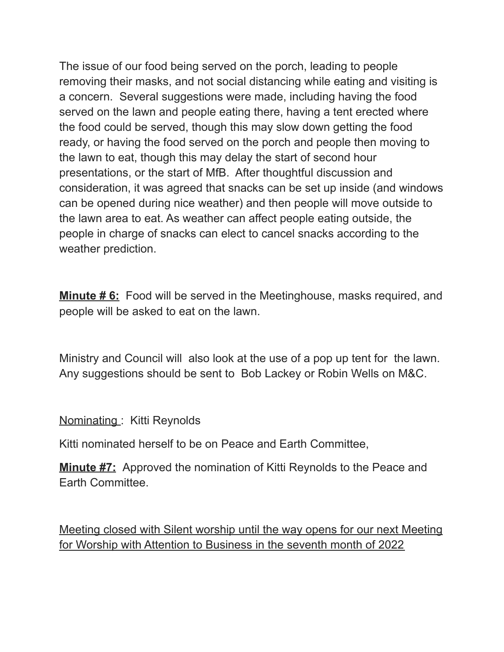The issue of our food being served on the porch, leading to people removing their masks, and not social distancing while eating and visiting is a concern. Several suggestions were made, including having the food served on the lawn and people eating there, having a tent erected where the food could be served, though this may slow down getting the food ready, or having the food served on the porch and people then moving to the lawn to eat, though this may delay the start of second hour presentations, or the start of MfB. After thoughtful discussion and consideration, it was agreed that snacks can be set up inside (and windows can be opened during nice weather) and then people will move outside to the lawn area to eat. As weather can affect people eating outside, the people in charge of snacks can elect to cancel snacks according to the weather prediction.

**Minute # 6:** Food will be served in the Meetinghouse, masks required, and people will be asked to eat on the lawn.

Ministry and Council will also look at the use of a pop up tent for the lawn. Any suggestions should be sent to Bob Lackey or Robin Wells on M&C.

Nominating : Kitti Reynolds

Kitti nominated herself to be on Peace and Earth Committee,

**Minute #7:** Approved the nomination of Kitti Reynolds to the Peace and Earth Committee.

Meeting closed with Silent worship until the way opens for our next Meeting for Worship with Attention to Business in the seventh month of 2022